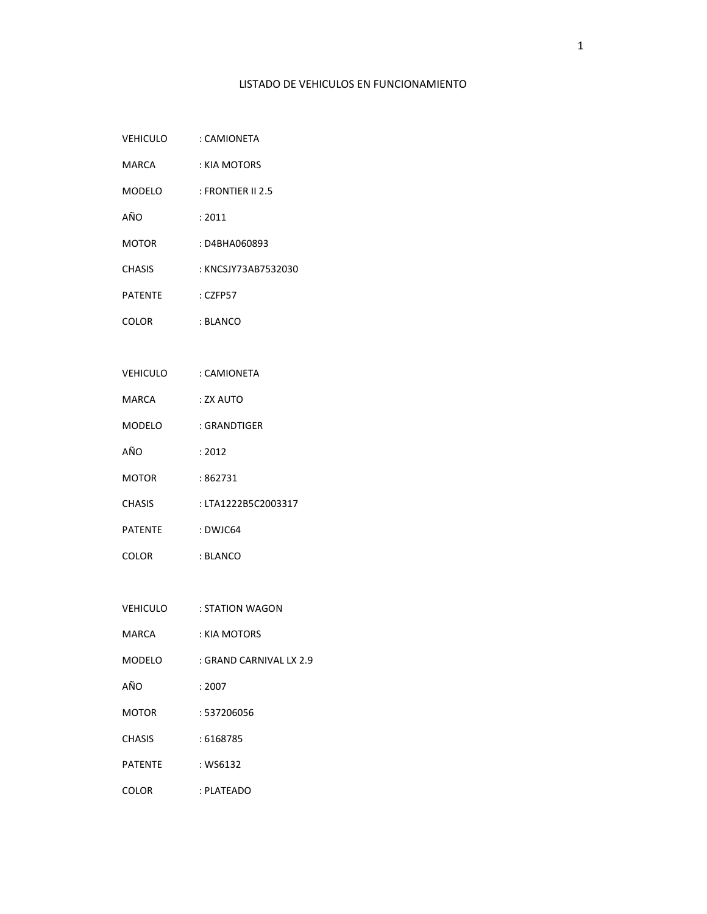## LISTADO DE VEHICULOS EN FUNCIONAMIENTO

| <b>VEHICULO</b> | : CAMIONETA |
|-----------------|-------------|
|                 |             |

- MARCA : KIA MOTORS
- MODELO : FRONTIER II 2.5
- AÑO : 2011
- MOTOR : D4BHA060893
- CHASIS : KNCSJY73AB7532030
- PATENTE : CZFP57
- COLOR : BLANCO
- VEHICULO : CAMIONETA
- MARCA : ZX AUTO
- MODELO : GRANDTIGER
- AÑO : 2012
- MOTOR : 862731
- CHASIS : LTA1222B5C2003317
- PATENTE : DWJC64
- COLOR : BLANCO
- VEHICULO : STATION WAGON
- MARCA : KIA MOTORS
- MODELO : GRAND CARNIVAL LX 2.9
- AÑO : 2007
- MOTOR : 537206056
- CHASIS : 6168785
- PATENTE : WS6132
- COLOR : PLATEADO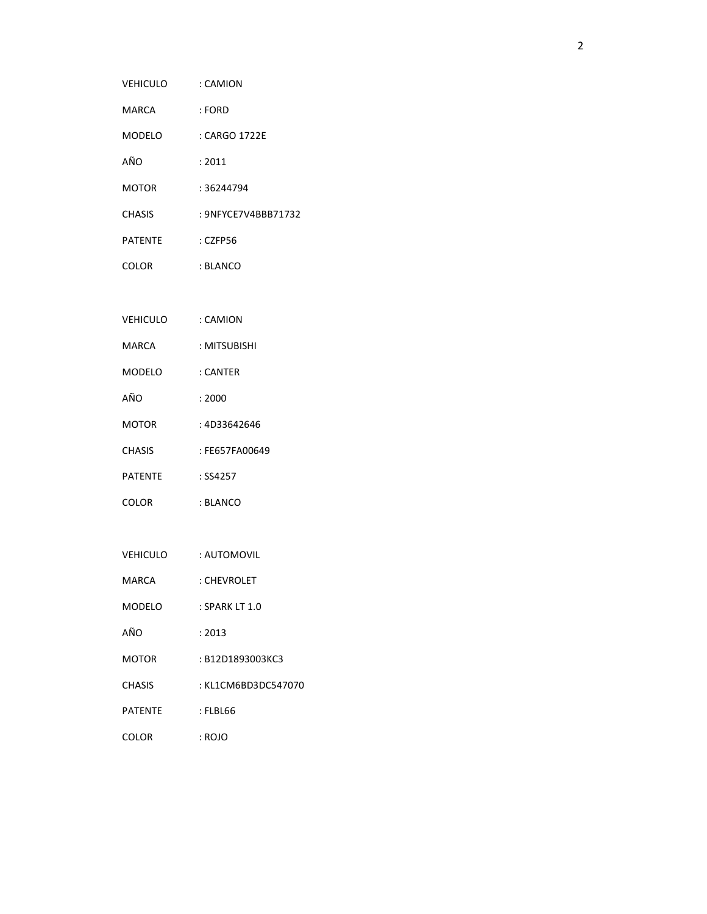| VEHICULO : CAMION    |                     |
|----------------------|---------------------|
| MARCA                | : FORD              |
| MODELO               | : CARGO 1722E       |
| AÑO                  | : 2011              |
| MOTOR                | : 36244794          |
| CHASIS               | : 9NFYCE7V4BBB71732 |
| PATENTE              | $:$ CZFP56          |
| COLOR                | : BLANCO            |
|                      |                     |
| VEHICULO : CAMION    |                     |
| MARCA                | : MITSUBISHI        |
| MODELO               | : CANTER            |
| AÑO                  | : 2000              |
| MOTOR                | : 4D33642646        |
| CHASIS               | : FE657FA00649      |
| PATENTE              | $:$ SS4257          |
| COLOR                | : BLANCO            |
|                      |                     |
| VEHICULO : AUTOMOVIL |                     |
| MARCA                | : CHEVROLET         |

- MODELO : SPARK LT 1.0
- AÑO : 2013
- MOTOR : B12D1893003KC3
- CHASIS : KL1CM6BD3DC547070
- PATENTE : FLBL66
- COLOR : ROJO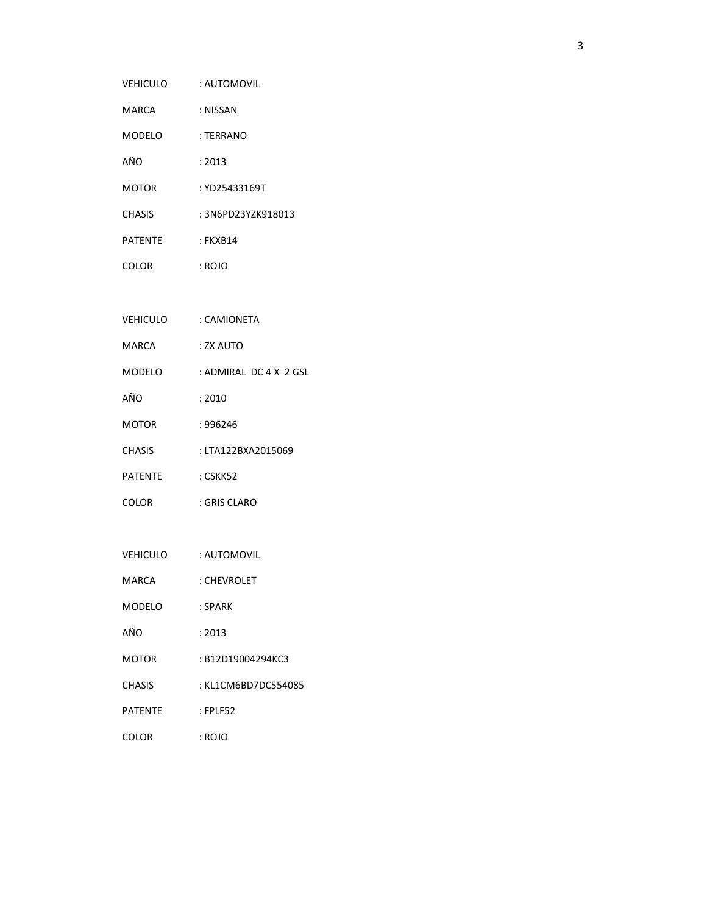- MARCA : NISSAN
- MODELO : TERRANO
- AÑO : 2013
- MOTOR : YD25433169T
- CHASIS : 3N6PD23YZK918013
- PATENTE : FKXB14
- COLOR : ROJO
- VEHICULO : CAMIONETA
- MARCA : ZX AUTO
- MODELO : ADMIRAL DC 4 X 2 GSL
- AÑO : 2010
- MOTOR : 996246
- CHASIS : LTA122BXA2015069
- PATENTE : CSKK52
- COLOR : GRIS CLARO
- VEHICULO : AUTOMOVIL
- MARCA : CHEVROLET
- MODELO : SPARK
- AÑO : 2013
- MOTOR : B12D19004294KC3
- CHASIS : KL1CM6BD7DC554085
- PATENTE : FPLF52
- COLOR : ROJO